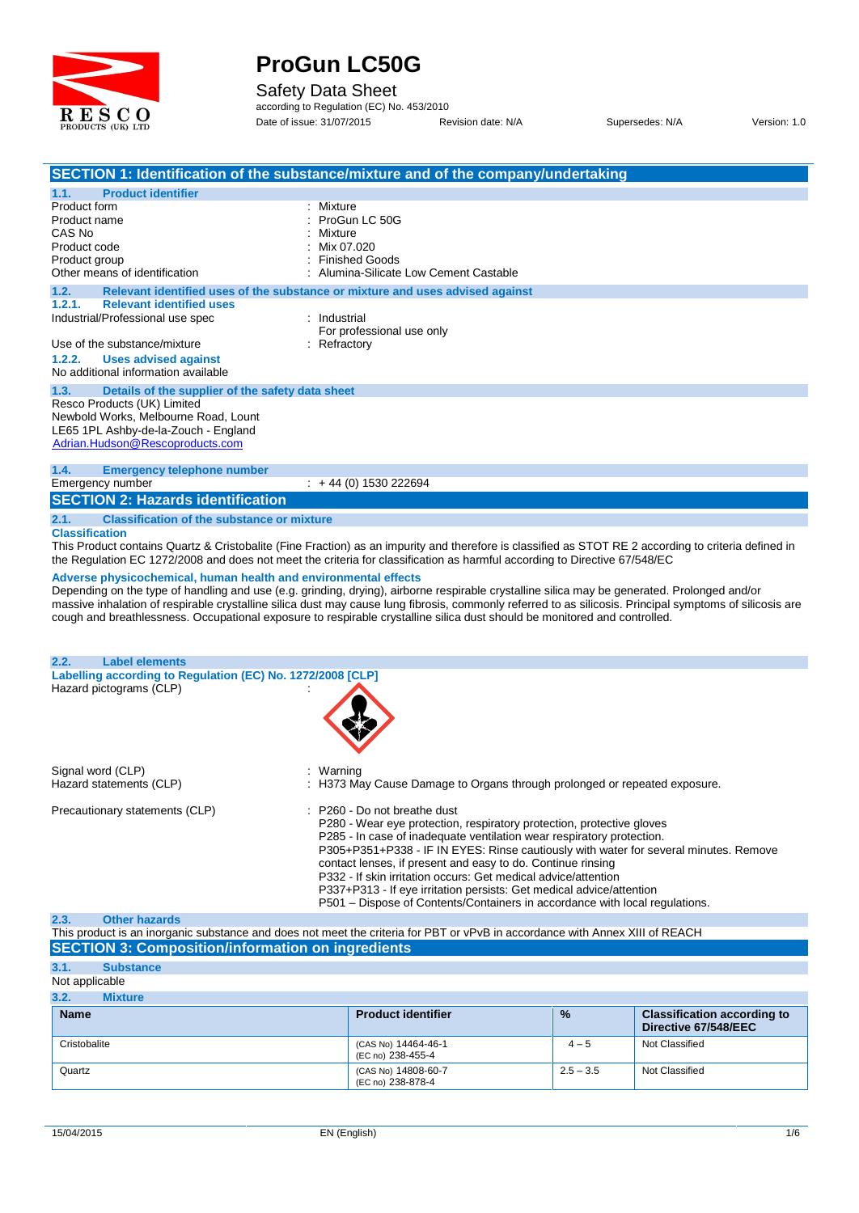

#### Safety Data Sheet

according to Regulation (EC) No. 453/2010 Date of issue: 31/07/2015 Revision date: N/A Supersedes: N/A Version: 1.0

|                                                                                                                                                                                               | SECTION 1: Identification of the substance/mixture and of the company/undertaking                                                                                                                                                                                                                                                                                                                                                     |
|-----------------------------------------------------------------------------------------------------------------------------------------------------------------------------------------------|---------------------------------------------------------------------------------------------------------------------------------------------------------------------------------------------------------------------------------------------------------------------------------------------------------------------------------------------------------------------------------------------------------------------------------------|
| <b>Product identifier</b><br>1.1.<br>Product form<br>Product name<br>CAS No<br>Product code<br>Product group<br>Other means of identification                                                 | : Mixture<br>ProGun LC 50G<br>Mixture<br>Mix 07.020<br><b>Finished Goods</b><br>Alumina-Silicate Low Cement Castable                                                                                                                                                                                                                                                                                                                  |
| 1.2.                                                                                                                                                                                          | Relevant identified uses of the substance or mixture and uses advised against                                                                                                                                                                                                                                                                                                                                                         |
| <b>Relevant identified uses</b><br>1.2.1.<br>Industrial/Professional use spec<br>Use of the substance/mixture<br>1.2.2.<br><b>Uses advised against</b><br>No additional information available | : Industrial<br>For professional use only<br>$:$ Refractory                                                                                                                                                                                                                                                                                                                                                                           |
| 1.3.<br>Details of the supplier of the safety data sheet                                                                                                                                      |                                                                                                                                                                                                                                                                                                                                                                                                                                       |
| Resco Products (UK) Limited<br>Newbold Works, Melbourne Road, Lount<br>LE65 1PL Ashby-de-la-Zouch - England<br>Adrian.Hudson@Rescoproducts.com                                                |                                                                                                                                                                                                                                                                                                                                                                                                                                       |
| 1.4.<br><b>Emergency telephone number</b><br>Emergency number                                                                                                                                 | $: +44(0)$ 1530 222694                                                                                                                                                                                                                                                                                                                                                                                                                |
| <b>SECTION 2: Hazards identification</b>                                                                                                                                                      |                                                                                                                                                                                                                                                                                                                                                                                                                                       |
| 2.1.<br><b>Classification of the substance or mixture</b>                                                                                                                                     |                                                                                                                                                                                                                                                                                                                                                                                                                                       |
| <b>Classification</b>                                                                                                                                                                         | This Product contains Quartz & Cristobalite (Fine Fraction) as an impurity and therefore is classified as STOT RE 2 according to criteria defined in<br>the Regulation EC 1272/2008 and does not meet the criteria for classification as harmful according to Directive 67/548/EC                                                                                                                                                     |
| Adverse physicochemical, human health and environmental effects                                                                                                                               | Depending on the type of handling and use (e.g. grinding, drying), airborne respirable crystalline silica may be generated. Prolonged and/or<br>massive inhalation of respirable crystalline silica dust may cause lung fibrosis, commonly referred to as silicosis. Principal symptoms of silicosis are<br>cough and breathlessness. Occupational exposure to respirable crystalline silica dust should be monitored and controlled. |
| 2.2.<br><b>Label elements</b>                                                                                                                                                                 |                                                                                                                                                                                                                                                                                                                                                                                                                                       |
| Labelling according to Regulation (EC) No. 1272/2008 [CLP]<br>Hazard pictograms (CLP)                                                                                                         |                                                                                                                                                                                                                                                                                                                                                                                                                                       |
| Signal word (CLP)<br>Hazard statements (CLP)                                                                                                                                                  | Warning<br>: H373 May Cause Damage to Organs through prolonged or repeated exposure.                                                                                                                                                                                                                                                                                                                                                  |
| Precautionary statements (CLP)                                                                                                                                                                | P260 - Do not breathe dust<br>P280 - Wear eye protection, respiratory protection, protective gloves<br>P285 - In case of inadequate ventilation wear respiratory protection.                                                                                                                                                                                                                                                          |

**2.3. Other hazards**

This product is an inorganic substance and does notmeet the criteria for PBT or vPvB in accordance with Annex XIII of REACH **SECTION 3: Composition/information on ingredients**

| 3.1.           | <b>Substance</b> |                                          |               |                                                            |
|----------------|------------------|------------------------------------------|---------------|------------------------------------------------------------|
| Not applicable |                  |                                          |               |                                                            |
| 3.2.           | <b>Mixture</b>   |                                          |               |                                                            |
| <b>Name</b>    |                  | <b>Product identifier</b>                | $\frac{9}{6}$ | <b>Classification according to</b><br>Directive 67/548/EEC |
| Cristobalite   |                  | (CAS No) 14464-46-1<br>(EC no) 238-455-4 | $4 - 5$       | Not Classified                                             |
| Quartz         |                  | (CAS No) 14808-60-7<br>(EC no) 238-878-4 | $2.5 - 3.5$   | Not Classified                                             |

P305+P351+P338 - IF IN EYES: Rinse cautiously with water for several minutes. Remove

contact lenses, if present and easy to do. Continue rinsing P332 - If skin irritation occurs: Get medical advice/attention

P337+P313 - If eye irritation persists: Get medical advice/attention P332 - If skin irritation occurs: Get medical advice/attention<br>P332 - If skin irritation occurs: Get medical advice/attention<br>P337+P313 - If eye irritation persists: Get medical advice/attention<br>P501 – Dispose of Contents/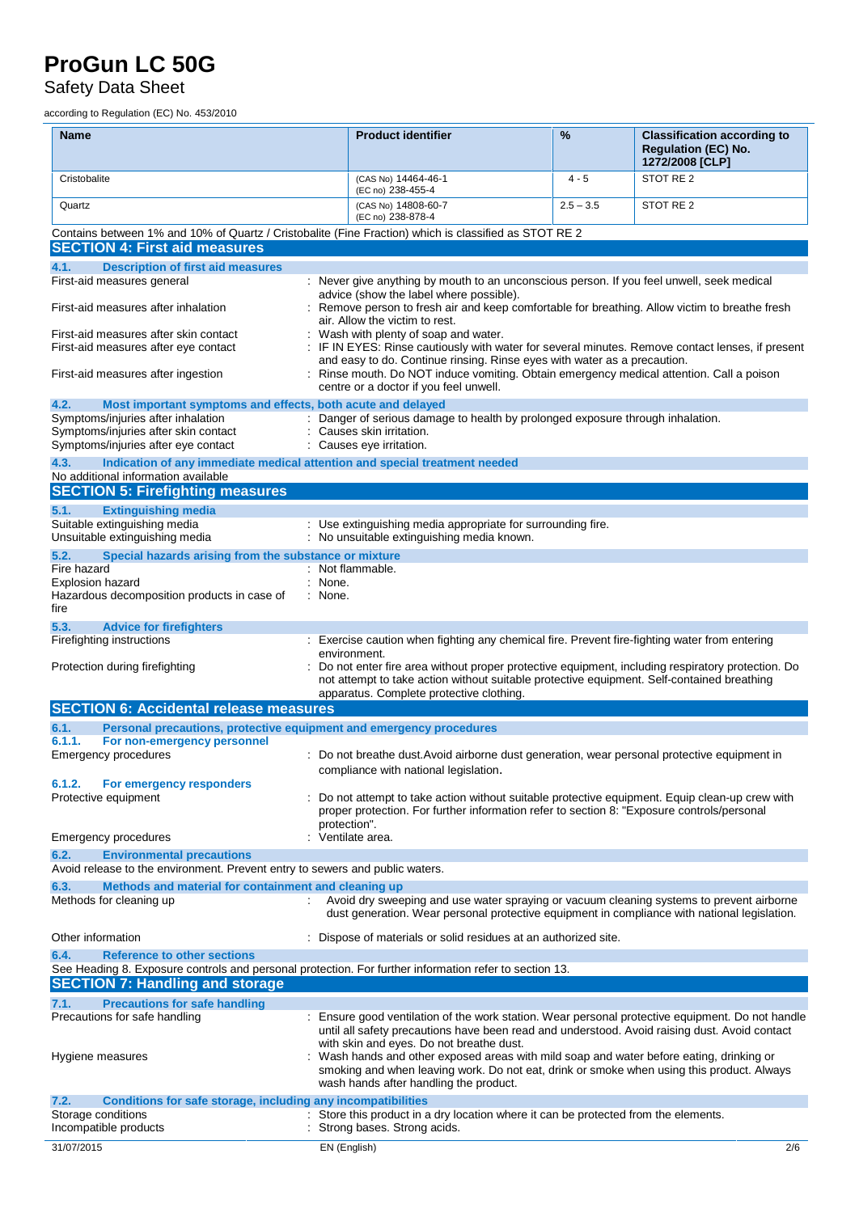Safety Data Sheet

according to Regulation (EC) No. 453/2010

| <b>Name</b>                                                                                                                                          | <b>Product identifier</b>                                                                                                                                                                                                                                                   | %           | <b>Classification according to</b><br><b>Regulation (EC) No.</b><br>1272/2008 [CLP] |
|------------------------------------------------------------------------------------------------------------------------------------------------------|-----------------------------------------------------------------------------------------------------------------------------------------------------------------------------------------------------------------------------------------------------------------------------|-------------|-------------------------------------------------------------------------------------|
| Cristobalite                                                                                                                                         | (CAS No) 14464-46-1<br>(EC no) 238-455-4                                                                                                                                                                                                                                    | $4 - 5$     | STOT RE 2                                                                           |
| Quartz                                                                                                                                               | (CAS No) 14808-60-7<br>(EC no) 238-878-4                                                                                                                                                                                                                                    | $2.5 - 3.5$ | STOT RE 2                                                                           |
| Contains between 1% and 10% of Quartz / Cristobalite (Fine Fraction) which is classified as STOT RE 2                                                |                                                                                                                                                                                                                                                                             |             |                                                                                     |
| <b>SECTION 4: First aid measures</b>                                                                                                                 |                                                                                                                                                                                                                                                                             |             |                                                                                     |
| 4.1.<br><b>Description of first aid measures</b><br>First-aid measures general                                                                       | : Never give anything by mouth to an unconscious person. If you feel unwell, seek medical                                                                                                                                                                                   |             |                                                                                     |
| First-aid measures after inhalation                                                                                                                  | advice (show the label where possible).<br>Remove person to fresh air and keep comfortable for breathing. Allow victim to breathe fresh                                                                                                                                     |             |                                                                                     |
| First-aid measures after skin contact                                                                                                                | air. Allow the victim to rest.<br>Wash with plenty of soap and water.                                                                                                                                                                                                       |             |                                                                                     |
| First-aid measures after eye contact                                                                                                                 | IF IN EYES: Rinse cautiously with water for several minutes. Remove contact lenses, if present<br>and easy to do. Continue rinsing. Rinse eyes with water as a precaution.                                                                                                  |             |                                                                                     |
| First-aid measures after ingestion                                                                                                                   | : Rinse mouth. Do NOT induce vomiting. Obtain emergency medical attention. Call a poison<br>centre or a doctor if you feel unwell.                                                                                                                                          |             |                                                                                     |
| 4.2.<br>Most important symptoms and effects, both acute and delayed                                                                                  |                                                                                                                                                                                                                                                                             |             |                                                                                     |
| Symptoms/injuries after inhalation<br>Symptoms/injuries after skin contact                                                                           | : Danger of serious damage to health by prolonged exposure through inhalation.<br>: Causes skin irritation.                                                                                                                                                                 |             |                                                                                     |
| Symptoms/injuries after eye contact                                                                                                                  | : Causes eye irritation.                                                                                                                                                                                                                                                    |             |                                                                                     |
| 4.3.<br>Indication of any immediate medical attention and special treatment needed<br>No additional information available                            |                                                                                                                                                                                                                                                                             |             |                                                                                     |
| <b>SECTION 5: Firefighting measures</b>                                                                                                              |                                                                                                                                                                                                                                                                             |             |                                                                                     |
| 5.1.<br><b>Extinguishing media</b>                                                                                                                   |                                                                                                                                                                                                                                                                             |             |                                                                                     |
| Suitable extinguishing media<br>Unsuitable extinguishing media                                                                                       | : Use extinguishing media appropriate for surrounding fire.<br>: No unsuitable extinguishing media known.                                                                                                                                                                   |             |                                                                                     |
| 5.2.<br>Special hazards arising from the substance or mixture                                                                                        |                                                                                                                                                                                                                                                                             |             |                                                                                     |
| Fire hazard<br>Explosion hazard                                                                                                                      | : Not flammable.<br>: None.                                                                                                                                                                                                                                                 |             |                                                                                     |
| Hazardous decomposition products in case of<br>fire                                                                                                  | : None.                                                                                                                                                                                                                                                                     |             |                                                                                     |
| 5.3.<br><b>Advice for firefighters</b>                                                                                                               |                                                                                                                                                                                                                                                                             |             |                                                                                     |
| Firefighting instructions                                                                                                                            | : Exercise caution when fighting any chemical fire. Prevent fire-fighting water from entering                                                                                                                                                                               |             |                                                                                     |
| Protection during firefighting                                                                                                                       | environment.<br>Do not enter fire area without proper protective equipment, including respiratory protection. Do<br>not attempt to take action without suitable protective equipment. Self-contained breathing<br>apparatus. Complete protective clothing.                  |             |                                                                                     |
| <b>SECTION 6: Accidental release measures</b>                                                                                                        |                                                                                                                                                                                                                                                                             |             |                                                                                     |
| 6.1.<br>Personal precautions, protective equipment and emergency procedures                                                                          |                                                                                                                                                                                                                                                                             |             |                                                                                     |
| For non-emergency personnel<br>6.1.1.                                                                                                                |                                                                                                                                                                                                                                                                             |             |                                                                                     |
| Emergency procedures                                                                                                                                 | : Do not breathe dust. Avoid airborne dust generation, wear personal protective equipment in<br>compliance with national legislation.                                                                                                                                       |             |                                                                                     |
| 6.1.2.<br>For emergency responders<br>Protective equipment                                                                                           | : Do not attempt to take action without suitable protective equipment. Equip clean-up crew with                                                                                                                                                                             |             |                                                                                     |
|                                                                                                                                                      | proper protection. For further information refer to section 8: "Exposure controls/personal<br>protection".                                                                                                                                                                  |             |                                                                                     |
| Emergency procedures                                                                                                                                 | : Ventilate area.                                                                                                                                                                                                                                                           |             |                                                                                     |
| 6.2.<br><b>Environmental precautions</b>                                                                                                             |                                                                                                                                                                                                                                                                             |             |                                                                                     |
| Avoid release to the environment. Prevent entry to sewers and public waters.<br>6.3.<br>Methods and material for containment and cleaning up         |                                                                                                                                                                                                                                                                             |             |                                                                                     |
| Methods for cleaning up                                                                                                                              | Avoid dry sweeping and use water spraying or vacuum cleaning systems to prevent airborne<br>dust generation. Wear personal protective equipment in compliance with national legislation.                                                                                    |             |                                                                                     |
| Other information                                                                                                                                    | : Dispose of materials or solid residues at an authorized site.                                                                                                                                                                                                             |             |                                                                                     |
| 6.4.<br><b>Reference to other sections</b><br>See Heading 8. Exposure controls and personal protection. For further information refer to section 13. |                                                                                                                                                                                                                                                                             |             |                                                                                     |
| <b>SECTION 7: Handling and storage</b>                                                                                                               |                                                                                                                                                                                                                                                                             |             |                                                                                     |
| <b>Precautions for safe handling</b><br>7.1.                                                                                                         |                                                                                                                                                                                                                                                                             |             |                                                                                     |
| Precautions for safe handling                                                                                                                        | : Ensure good ventilation of the work station. Wear personal protective equipment. Do not handle<br>until all safety precautions have been read and understood. Avoid raising dust. Avoid contact                                                                           |             |                                                                                     |
| Hygiene measures                                                                                                                                     | with skin and eyes. Do not breathe dust.<br>: Wash hands and other exposed areas with mild soap and water before eating, drinking or<br>smoking and when leaving work. Do not eat, drink or smoke when using this product. Always<br>wash hands after handling the product. |             |                                                                                     |
| Conditions for safe storage, including any incompatibilities<br>7.2.                                                                                 |                                                                                                                                                                                                                                                                             |             |                                                                                     |
| Storage conditions                                                                                                                                   | : Store this product in a dry location where it can be protected from the elements.                                                                                                                                                                                         |             |                                                                                     |
| Incompatible products                                                                                                                                | Strong bases. Strong acids.                                                                                                                                                                                                                                                 |             |                                                                                     |
| 31/07/2015                                                                                                                                           | EN (English)                                                                                                                                                                                                                                                                |             | 2/6                                                                                 |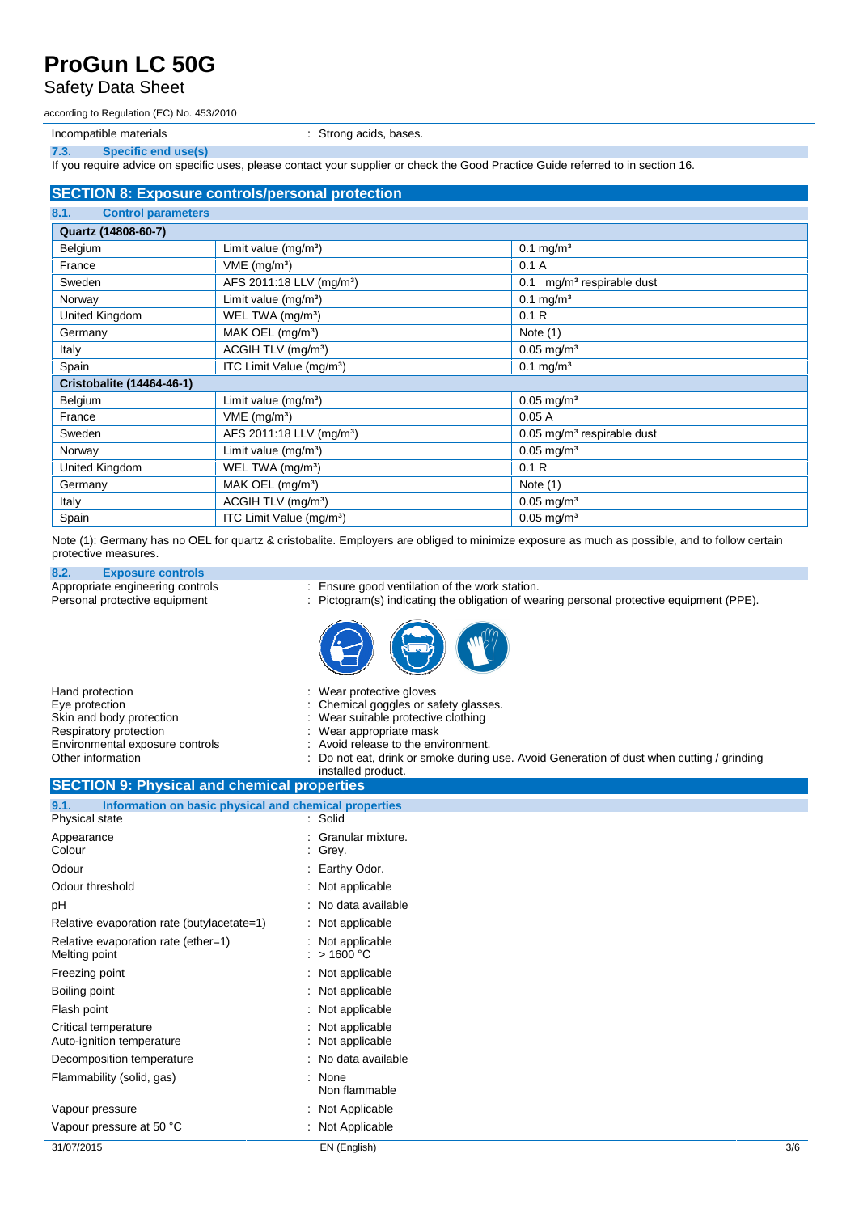#### Safety Data Sheet

according to Regulation (EC) No. 453/2010

Incompatible materials **incompatible materials incompatible materials incompatible materials** 

**7.3. Specific end use(s)**

If you require advice on specific uses, please contact your supplier or check the Good Practice Guide referred to in section 16.

#### **SECTION 8: Exposure controls/personal protection**

|                                   | فاشتراه المتحاولات والمتحاول والمتحاولات والمتحاول المتحاولات والمتحاولات والمتالية والمتحاولات والمتحاولات والمتحاولات |                                          |
|-----------------------------------|-------------------------------------------------------------------------------------------------------------------------|------------------------------------------|
| 8.1.<br><b>Control parameters</b> |                                                                                                                         |                                          |
| Quartz (14808-60-7)               |                                                                                                                         |                                          |
| Belgium                           | Limit value (mg/m <sup>3</sup> )                                                                                        | $0.1 \text{ mg/m}^3$                     |
| France                            | $VME$ (mg/m <sup>3</sup> )                                                                                              | 0.1A                                     |
| Sweden                            | AFS 2011:18 LLV (mg/m <sup>3</sup> )                                                                                    | mg/m <sup>3</sup> respirable dust<br>0.1 |
| Norway                            | Limit value $(mg/m3)$                                                                                                   | $0.1$ mg/m <sup>3</sup>                  |
| United Kingdom                    | WEL TWA (mg/m <sup>3</sup> )                                                                                            | 0.1R                                     |
| Germany                           | MAK OEL $(mg/m3)$                                                                                                       | Note $(1)$                               |
| Italy                             | ACGIH TLV (mg/m <sup>3</sup> )                                                                                          | $0.05$ mg/m <sup>3</sup>                 |
| Spain                             | ITC Limit Value (mg/m <sup>3</sup> )                                                                                    | $0.1$ mg/m <sup>3</sup>                  |
| <b>Cristobalite (14464-46-1)</b>  |                                                                                                                         |                                          |
| Belgium                           | Limit value (mg/m <sup>3</sup> )                                                                                        | $0.05$ mg/m <sup>3</sup>                 |
| France                            | $VME$ (mg/m <sup>3</sup> )                                                                                              | 0.05A                                    |
| Sweden                            | AFS 2011:18 LLV (mg/m <sup>3</sup> )                                                                                    | $0.05$ mg/m <sup>3</sup> respirable dust |
| Norway                            | Limit value $(mg/m^3)$                                                                                                  | $0.05$ mg/m <sup>3</sup>                 |
| United Kingdom                    | WEL TWA (mg/m <sup>3</sup> )                                                                                            | 0.1R                                     |
| Germany                           | MAK OEL (mg/m <sup>3</sup> )                                                                                            | Note $(1)$                               |
| Italy                             | ACGIH TLV (mg/m <sup>3</sup> )                                                                                          | $0.05 \,\mathrm{mg/m^3}$                 |
| Spain                             | ITC Limit Value (mg/m <sup>3</sup> )                                                                                    | $0.05$ mg/m <sup>3</sup>                 |

Note (1): Germany has no OEL for quartz & cristobalite. Employers are obliged to minimize exposure as much as possible, and to follow certain protective measures.

### **8.2. Exposure controls**

Appropriate engineering controls : Ensure good ventilation of the work station.<br>
Personal protective equipment : Pictogram(s) indicating the obligation of wear

- 
- : Pictogram(s) indicating the obligation of wearing personal protective equipment (PPE).



| Hand protection                 | : Wear protective gloves                                                                  |
|---------------------------------|-------------------------------------------------------------------------------------------|
| Eve protection                  | : Chemical goggles or safety glasses.                                                     |
| Skin and body protection        | : Wear suitable protective clothing                                                       |
| Respiratory protection          | : Wear appropriate mask                                                                   |
| Environmental exposure controls | : Avoid release to the environment.                                                       |
| Other information               | : Do not eat, drink or smoke during use. Avoid Generation of dust when cutting / grinding |
|                                 | installed product.                                                                        |

#### **SECTION 9: Physical and chemical properties 9.1. Information on basic physical and chemical properties** Physical state

| 31/07/2015                                           | EN (English)                        | 3/6 |
|------------------------------------------------------|-------------------------------------|-----|
| Vapour pressure at 50 °C                             | : Not Applicable                    |     |
| Vapour pressure                                      | : Not Applicable                    |     |
| Flammability (solid, gas)                            | : None<br>Non flammable             |     |
| Decomposition temperature                            | : No data available                 |     |
| Critical temperature<br>Auto-ignition temperature    | Not applicable<br>Not applicable    |     |
| Flash point                                          | : Not applicable                    |     |
| Boiling point                                        | $:$ Not applicable                  |     |
| Freezing point                                       | : Not applicable                    |     |
| Relative evaporation rate (ether=1)<br>Melting point | $:$ Not applicable<br>: $>$ 1600 °C |     |
| Relative evaporation rate (butylacetate=1)           | : Not applicable                    |     |
| рH                                                   | : No data available                 |     |
| Odour threshold                                      | : Not applicable                    |     |
| Odour                                                | : Earthy Odor.                      |     |
| Colour                                               | $:$ Grey.                           |     |
| Appearance                                           | Granular mixture.                   |     |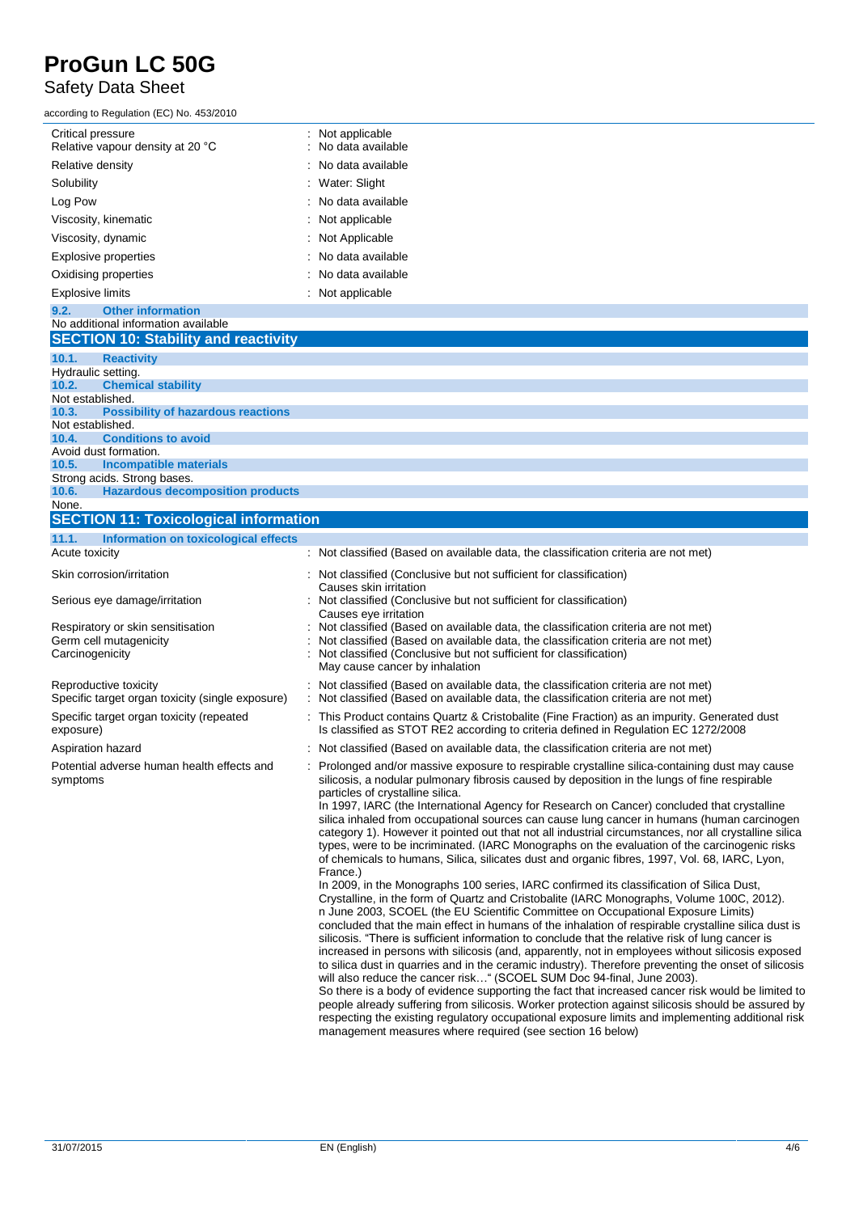#### Safety Data Sheet

according to Regulation (EC) No. 453/2010

| ccording to Regulation (EC) No. 453/2010              |                                         |
|-------------------------------------------------------|-----------------------------------------|
| Critical pressure<br>Relative vapour density at 20 °C | : Not applicable<br>: No data available |
| Relative density                                      | $\therefore$ No data available          |
| Solubility                                            | : Water: Slight                         |
| Log Pow                                               | $\therefore$ No data available          |
| Viscosity, kinematic                                  | : Not applicable                        |
| Viscosity, dynamic                                    | : Not Applicable                        |
| Explosive properties                                  | : No data available                     |
| Oxidising properties                                  | $\therefore$ No data available          |
| <b>Explosive limits</b>                               | : Not applicable                        |
|                                                       |                                         |

#### **9.2. Other information** No additional information available **SECTION 10: Stability and reactivity 10.1. Reactivity** Hydraulic setting.<br>10.2. Chemi **10.2. Chemical stability** Not established. **10.3. Possibility of hazardous reactions** Not established.<br>10.4. Condi **10.4. Conditions to avoid** Avoid dust formation. **10.5. Incompatible materials** Strong acids. Strong bases.<br>10.6. Hazardous decor **10.6. Hazardous decomposition products** None. **SECTION 11: Toxicological information 11.1. Information on toxicological effects** Acute toxicity **intervals and the classified (Based on available data, the classification criteria are not met)**

#### Skin corrosion/irritation : Not classified (Conclusive but not sufficient for classification) Causes skin irritation Serious eye damage/irritation : Not classified (Conclusive but not sufficient for classification) Causes eye irritation Respiratory or skin sensitisation : Not classified (Based on available data, the classification criteria are not met) Germ cell mutagenicity **interpretent contracts** : Not classified (Based on available data, the classification criteria are not met) Carcinogenicity : Not classified (Conclusive but not sufficient for classification) May cause cancer by inhalation Reproductive toxicity **in the classified (Based on available data**, the classification criteria are not met) Specific target organ toxicity (single exposure) : Not classified (Based on available data, the classification criteria are not met) Specific target organ toxicity (repeated exposure) : This Product contains Quartz & Cristobalite (Fine Fraction) as an impurity. Generated dust Is classified as STOT RE2 according to criteria defined in Regulation EC 1272/2008 Aspiration hazard **in the classified (Based on available data, the classification criteria are not met)**  $\cdot$  Not classified (Based on available data, the classification criteria are not met) Potential adverse human health effects and symptoms particles of crystalline silica. In 1997, IARC (the International Agency for Research on Cancer) concluded that crystalline France.) In 2009, in the Monographs 100 series, IARC confirmed its classification of Silica Dust, n June 2003, SCOEL (the EU Scientific Committee on Occupational Exposure Limits)

### : Prolonged and/or massive exposure to respirable crystalline silica-containing dust may cause silicosis, a nodular pulmonary fibrosis caused by deposition in the lungs of fine respirable

silica inhaled from occupational sources can cause lung cancer in humans (human carcinogen category 1). However it pointed out that not all industrial circumstances, nor all crystalline silica types, were to be incriminated. (IARC Monographs on the evaluation of the carcinogenic risks of chemicals to humans, Silica, silicates dust and organic fibres, 1997, Vol. 68, IARC, Lyon,

Crystalline, in the form of Quartz and Cristobalite (IARC Monographs, Volume 100C, 2012). concluded that the main effect in humans of the inhalation of respirable crystalline silica dust is in June 2003, SCOEL (the EU Scientific Committee on Occupational Exposure Limits)<br>concluded that the main effect in humans of the inhalation of respirable crystalline silica dust is<br>silicosis. "There is sufficient informat increased in persons with silicosis (and, apparently, not in employees without silicosis exposed to silica dustin quarries and in the ceramic industry). Therefore preventing the onset of silicosis silicosis. "There is sufficient information to conclude that the relative risk of lung cancer is increased in persons with silicosis (and, apparently, not in employees without silicosis expto silica dust in quarries and in

So there is a body of evidence supporting the fact that increased cancer risk would be limited to people already suffering from silicosis. Worker protection against silicosis should be assured by respecting the existing regulatory occupational exposure limits and implementing additional risk management measures where required (see section 16 below)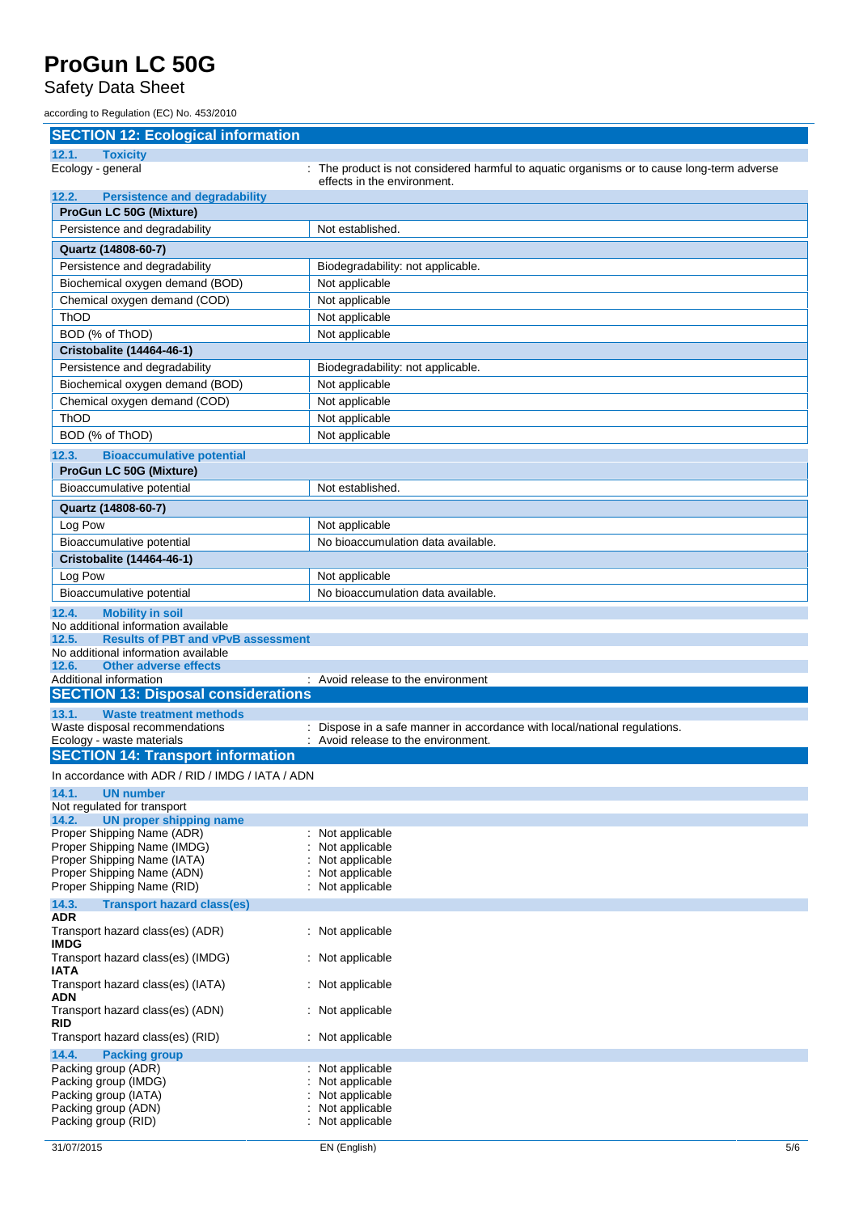Safety Data Sheet

according to Regulation (EC) No. 453/2010

| <b>SECTION 12: Ecological information</b>                               |                                                                                                                           |
|-------------------------------------------------------------------------|---------------------------------------------------------------------------------------------------------------------------|
| 12.1.<br><b>Toxicity</b>                                                |                                                                                                                           |
| Ecology - general                                                       | : The product is not considered harmful to aquatic organisms or to cause long-term adverse<br>effects in the environment. |
| <b>Persistence and degradability</b><br>12.2.                           |                                                                                                                           |
| <b>ProGun LC 50G (Mixture)</b>                                          |                                                                                                                           |
| Persistence and degradability                                           | Not established.                                                                                                          |
| Quartz (14808-60-7)                                                     |                                                                                                                           |
| Persistence and degradability                                           | Biodegradability: not applicable.                                                                                         |
| Biochemical oxygen demand (BOD)                                         | Not applicable                                                                                                            |
| Chemical oxygen demand (COD)                                            | Not applicable                                                                                                            |
| ThOD                                                                    | Not applicable                                                                                                            |
| BOD (% of ThOD)                                                         | Not applicable                                                                                                            |
| Cristobalite (14464-46-1)                                               |                                                                                                                           |
| Persistence and degradability                                           | Biodegradability: not applicable.                                                                                         |
| Biochemical oxygen demand (BOD)                                         | Not applicable                                                                                                            |
| Chemical oxygen demand (COD)<br><b>ThOD</b>                             | Not applicable                                                                                                            |
| BOD (% of ThOD)                                                         | Not applicable<br>Not applicable                                                                                          |
|                                                                         |                                                                                                                           |
| 12.3.<br><b>Bioaccumulative potential</b>                               |                                                                                                                           |
| ProGun LC 50G (Mixture)                                                 | Not established.                                                                                                          |
| Bioaccumulative potential                                               |                                                                                                                           |
| Quartz (14808-60-7)                                                     |                                                                                                                           |
| Log Pow                                                                 | Not applicable                                                                                                            |
| Bioaccumulative potential                                               | No bioaccumulation data available.                                                                                        |
| Cristobalite (14464-46-1)                                               |                                                                                                                           |
| Log Pow                                                                 | Not applicable                                                                                                            |
| Bioaccumulative potential                                               | No bioaccumulation data available.                                                                                        |
| <b>Mobility in soil</b><br>12.4.<br>No additional information available |                                                                                                                           |
| 12.5.<br><b>Results of PBT and vPvB assessment</b>                      |                                                                                                                           |
| No additional information available                                     |                                                                                                                           |
| <b>Other adverse effects</b><br>12.6.<br>Additional information         | : Avoid release to the environment                                                                                        |
| <b>SECTION 13: Disposal considerations</b>                              |                                                                                                                           |
| 13.1.<br><b>Waste treatment methods</b>                                 |                                                                                                                           |
| Waste disposal recommendations                                          | : Dispose in a safe manner in accordance with local/national regulations.                                                 |
| Ecology - waste materials                                               | : Avoid release to the environment.                                                                                       |
| <b>SECTION 14: Transport information</b>                                |                                                                                                                           |
| In accordance with ADR / RID / IMDG / IATA / ADN                        |                                                                                                                           |
| 14.1.<br><b>UN number</b>                                               |                                                                                                                           |
| Not regulated for transport<br>14.2.<br><b>UN proper shipping name</b>  |                                                                                                                           |
| Proper Shipping Name (ADR)                                              | : Not applicable                                                                                                          |
| Proper Shipping Name (IMDG)                                             | Not applicable                                                                                                            |
| Proper Shipping Name (IATA)<br>Proper Shipping Name (ADN)               | Not applicable<br>Not applicable                                                                                          |
| Proper Shipping Name (RID)                                              | Not applicable                                                                                                            |
| 14.3.<br><b>Transport hazard class(es)</b>                              |                                                                                                                           |
| <b>ADR</b>                                                              |                                                                                                                           |
| Transport hazard class(es) (ADR)<br><b>IMDG</b>                         | : Not applicable                                                                                                          |
| Transport hazard class(es) (IMDG)                                       | : Not applicable                                                                                                          |
| <b>IATA</b><br>Transport hazard class(es) (IATA)                        | : Not applicable                                                                                                          |
| <b>ADN</b><br>Transport hazard class(es) (ADN)                          | : Not applicable                                                                                                          |
| <b>RID</b><br>Transport hazard class(es) (RID)                          | : Not applicable                                                                                                          |
| 14.4.<br><b>Packing group</b>                                           |                                                                                                                           |
| Packing group (ADR)                                                     | Not applicable                                                                                                            |
|                                                                         |                                                                                                                           |
| Packing group (IMDG)                                                    | Not applicable                                                                                                            |
| Packing group (IATA)<br>Packing group (ADN)                             | Not applicable<br>Not applicable                                                                                          |